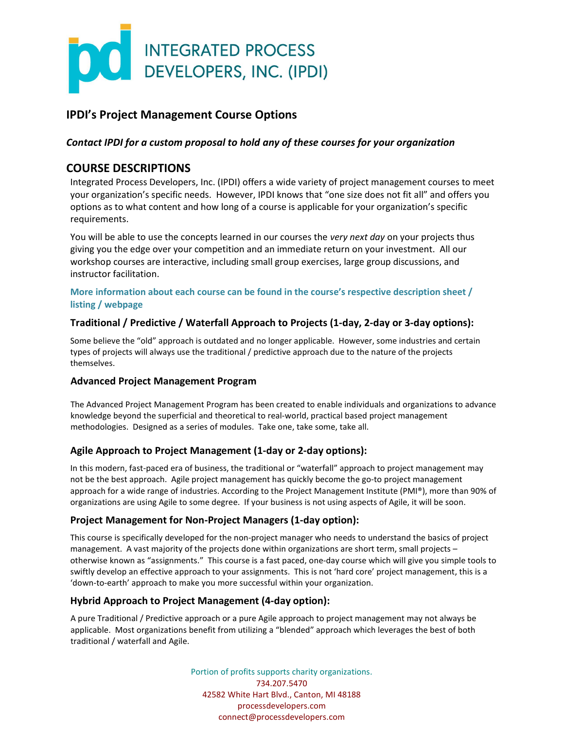

# IPDI's Project Management Course Options

## Contact IPDI for a custom proposal to hold any of these courses for your organization

# COURSE DESCRIPTIONS

Integrated Process Developers, Inc. (IPDI) offers a wide variety of project management courses to meet your organization's specific needs. However, IPDI knows that "one size does not fit all" and offers you options as to what content and how long of a course is applicable for your organization's specific requirements.

You will be able to use the concepts learned in our courses the very next day on your projects thus giving you the edge over your competition and an immediate return on your investment. All our workshop courses are interactive, including small group exercises, large group discussions, and instructor facilitation.

### More information about each course can be found in the course's respective description sheet / listing / webpage

## Traditional / Predictive / Waterfall Approach to Projects (1-day, 2-day or 3-day options):

Some believe the "old" approach is outdated and no longer applicable. However, some industries and certain types of projects will always use the traditional / predictive approach due to the nature of the projects themselves.

#### Advanced Project Management Program

The Advanced Project Management Program has been created to enable individuals and organizations to advance knowledge beyond the superficial and theoretical to real-world, practical based project management methodologies. Designed as a series of modules. Take one, take some, take all.

## Agile Approach to Project Management (1-day or 2-day options):

In this modern, fast-paced era of business, the traditional or "waterfall" approach to project management may not be the best approach. Agile project management has quickly become the go-to project management approach for a wide range of industries. According to the Project Management Institute (PMI®), more than 90% of organizations are using Agile to some degree. If your business is not using aspects of Agile, it will be soon.

#### Project Management for Non-Project Managers (1-day option):

This course is specifically developed for the non-project manager who needs to understand the basics of project management. A vast majority of the projects done within organizations are short term, small projects – otherwise known as "assignments." This course is a fast paced, one-day course which will give you simple tools to swiftly develop an effective approach to your assignments. This is not 'hard core' project management, this is a 'down-to-earth' approach to make you more successful within your organization.

## Hybrid Approach to Project Management (4-day option):

A pure Traditional / Predictive approach or a pure Agile approach to project management may not always be applicable. Most organizations benefit from utilizing a "blended" approach which leverages the best of both traditional / waterfall and Agile.

> Portion of profits supports charity organizations. 734.207.5470 42582 White Hart Blvd., Canton, MI 48188 processdevelopers.com connect@processdevelopers.com